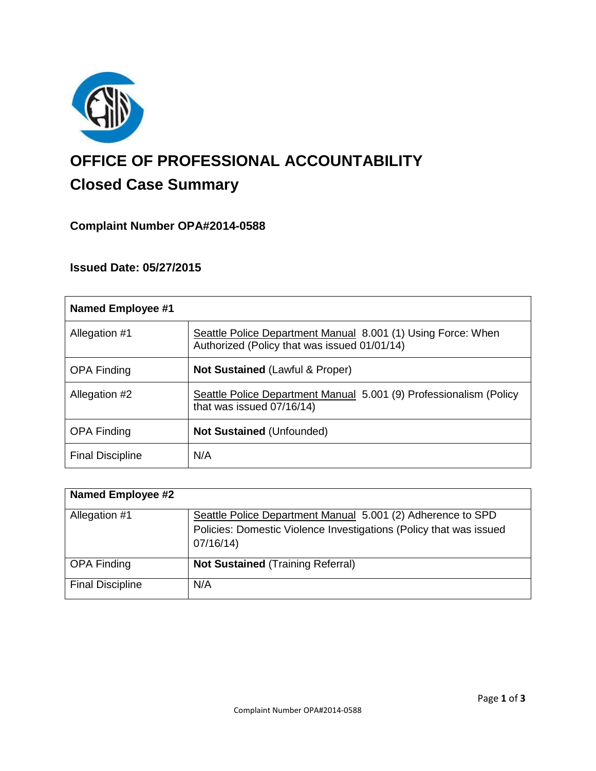

# **OFFICE OF PROFESSIONAL ACCOUNTABILITY Closed Case Summary**

# **Complaint Number OPA#2014-0588**

# **Issued Date: 05/27/2015**

| <b>Named Employee #1</b> |                                                                                                              |
|--------------------------|--------------------------------------------------------------------------------------------------------------|
| Allegation #1            | Seattle Police Department Manual 8.001 (1) Using Force: When<br>Authorized (Policy that was issued 01/01/14) |
| <b>OPA Finding</b>       | <b>Not Sustained (Lawful &amp; Proper)</b>                                                                   |
| Allegation #2            | Seattle Police Department Manual 5.001 (9) Professionalism (Policy<br>that was issued 07/16/14)              |
| <b>OPA Finding</b>       | <b>Not Sustained (Unfounded)</b>                                                                             |
| <b>Final Discipline</b>  | N/A                                                                                                          |

| <b>Named Employee #2</b> |                                                                                                                                               |
|--------------------------|-----------------------------------------------------------------------------------------------------------------------------------------------|
| Allegation #1            | Seattle Police Department Manual 5.001 (2) Adherence to SPD<br>Policies: Domestic Violence Investigations (Policy that was issued<br>07/16/14 |
| <b>OPA Finding</b>       | <b>Not Sustained (Training Referral)</b>                                                                                                      |
| <b>Final Discipline</b>  | N/A                                                                                                                                           |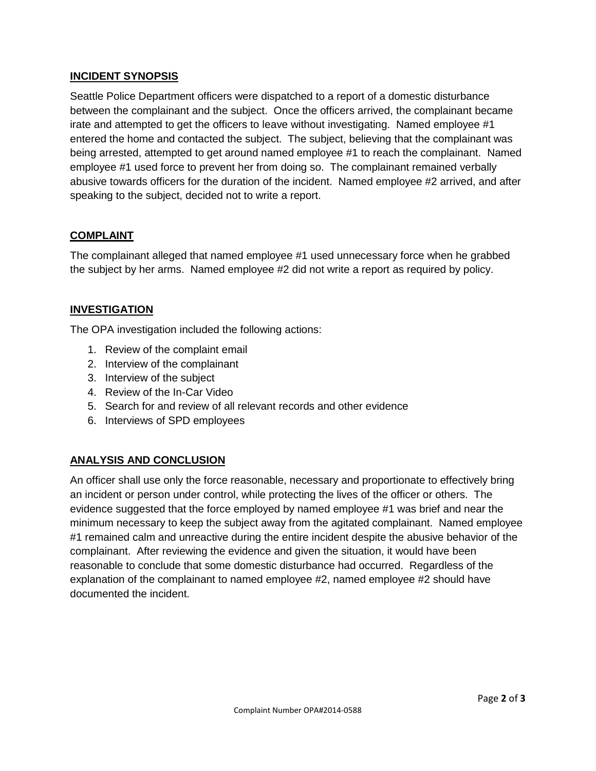## **INCIDENT SYNOPSIS**

Seattle Police Department officers were dispatched to a report of a domestic disturbance between the complainant and the subject. Once the officers arrived, the complainant became irate and attempted to get the officers to leave without investigating. Named employee #1 entered the home and contacted the subject. The subject, believing that the complainant was being arrested, attempted to get around named employee #1 to reach the complainant. Named employee #1 used force to prevent her from doing so. The complainant remained verbally abusive towards officers for the duration of the incident. Named employee #2 arrived, and after speaking to the subject, decided not to write a report.

## **COMPLAINT**

The complainant alleged that named employee #1 used unnecessary force when he grabbed the subject by her arms. Named employee #2 did not write a report as required by policy.

## **INVESTIGATION**

The OPA investigation included the following actions:

- 1. Review of the complaint email
- 2. Interview of the complainant
- 3. Interview of the subject
- 4. Review of the In-Car Video
- 5. Search for and review of all relevant records and other evidence
- 6. Interviews of SPD employees

## **ANALYSIS AND CONCLUSION**

An officer shall use only the force reasonable, necessary and proportionate to effectively bring an incident or person under control, while protecting the lives of the officer or others. The evidence suggested that the force employed by named employee #1 was brief and near the minimum necessary to keep the subject away from the agitated complainant. Named employee #1 remained calm and unreactive during the entire incident despite the abusive behavior of the complainant. After reviewing the evidence and given the situation, it would have been reasonable to conclude that some domestic disturbance had occurred. Regardless of the explanation of the complainant to named employee #2, named employee #2 should have documented the incident.